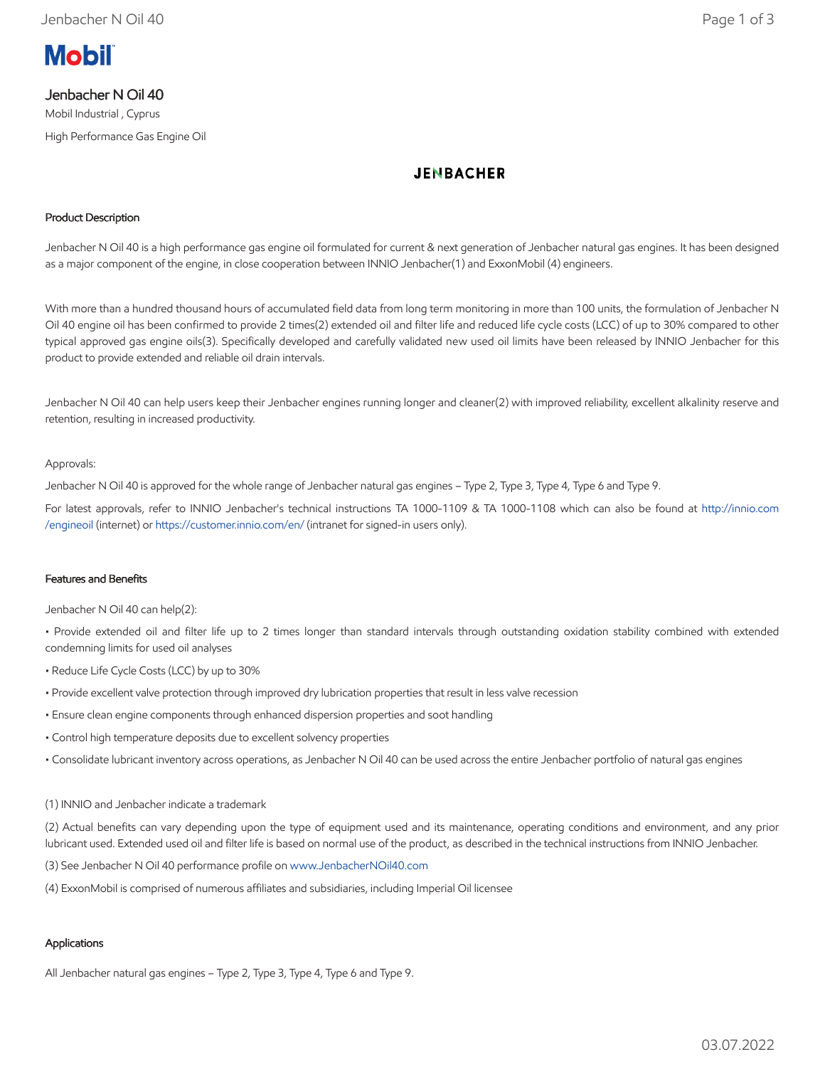

# Jenbacher N Oil 40

Mobil Industrial , Cyprus High Performance Gas Engine Oil

# **JENBACHER**

## Product Description

Jenbacher N Oil 40 is a high performance gas engine oil formulated for current & next generation of Jenbacher natural gas engines. It has been designed as a major component of the engine, in close cooperation between INNIO Jenbacher(1) and ExxonMobil (4) engineers.

With more than a hundred thousand hours of accumulated field data from long term monitoring in more than 100 units, the formulation of Jenbacher N Oil 40 engine oil has been confirmed to provide 2 times(2) extended oil and filter life and reduced life cycle costs (LCC) of up to 30% compared to other typical approved gas engine oils(3). Specifically developed and carefully validated new used oil limits have been released by INNIO Jenbacher for this product to provide extended and reliable oil drain intervals.

Jenbacher N Oil 40 can help users keep their Jenbacher engines running longer and cleaner(2) with improved reliability, excellent alkalinity reserve and retention, resulting in increased productivity.

### Approvals:

Jenbacher N Oil 40 is approved for the whole range of Jenbacher natural gas engines – Type 2, Type 3, Type 4, Type 6 and Type 9.

For latest approvals, refer to INNIO Jenbacher's technical instructions TA 1000-1109 & TA 1000-1108 which can also be found at [http://innio.com](http://innio.com/engineoil) /engineoil (internet) or [https://customer.innio.com/en/ \(](https://customer.innio.com/en/)intranet for signed-in users only).

### Features and Benefits

Jenbacher N Oil 40 can help(2):

• Provide extended oil and filter life up to 2 times longer than standard intervals through outstanding oxidation stability combined with extended condemning limits for used oil analyses

- Reduce Life Cycle Costs (LCC) by up to 30%
- Provide excellent valve protection through improved dry lubrication properties that result in less valve recession
- Ensure clean engine components through enhanced dispersion properties and soot handling
- Control high temperature deposits due to excellent solvency properties
- Consolidate lubricant inventory across operations, as Jenbacher N Oil 40 can be used across the entire Jenbacher portfolio of natural gas engines

#### (1) INNIO and Jenbacher indicate a trademark

(2) Actual benefits can vary depending upon the type of equipment used and its maintenance, operating conditions and environment, and any prior lubricant used. Extended used oil and filter life is based on normal use of the product, as described in the technical instructions from INNIO Jenbacher.

(3) See Jenbacher N Oil 40 performance profile on [www.JenbacherNOil40.com](http://www.jenbachernoil40.com/)

(4) ExxonMobil is comprised of numerous affiliates and subsidiaries, including Imperial Oil licensee

## Applications

All Jenbacher natural gas engines – Type 2, Type 3, Type 4, Type 6 and Type 9.